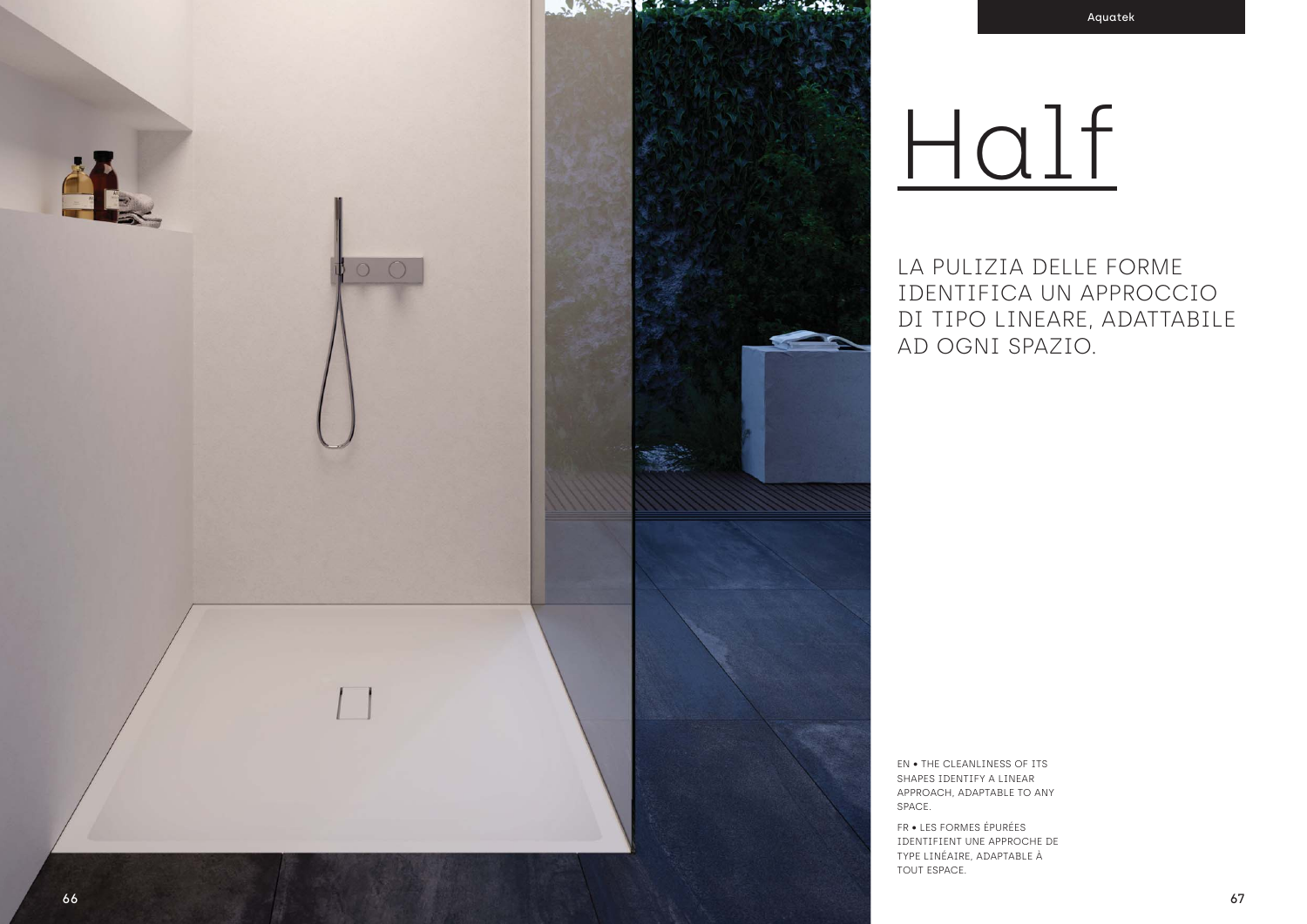

LA PULIZIA DELLE FORME IDENTIFICA UN APPROCCIO DI TIPO LINEARE, ADATTABILE AD OGNI SPAZIO.

EN . THE CLEANLINESS OF ITS SHAPES IDENTIFY A LINEAR APPROACH, ADAPTABLE TO ANY SPACE.

FR · LES FORMES ÉPURÉES IDENTIFIENT UNE APPROCHE DE TYPE LINÉAIRE, ADAPTABLE À TOUT ESPACE.

# Half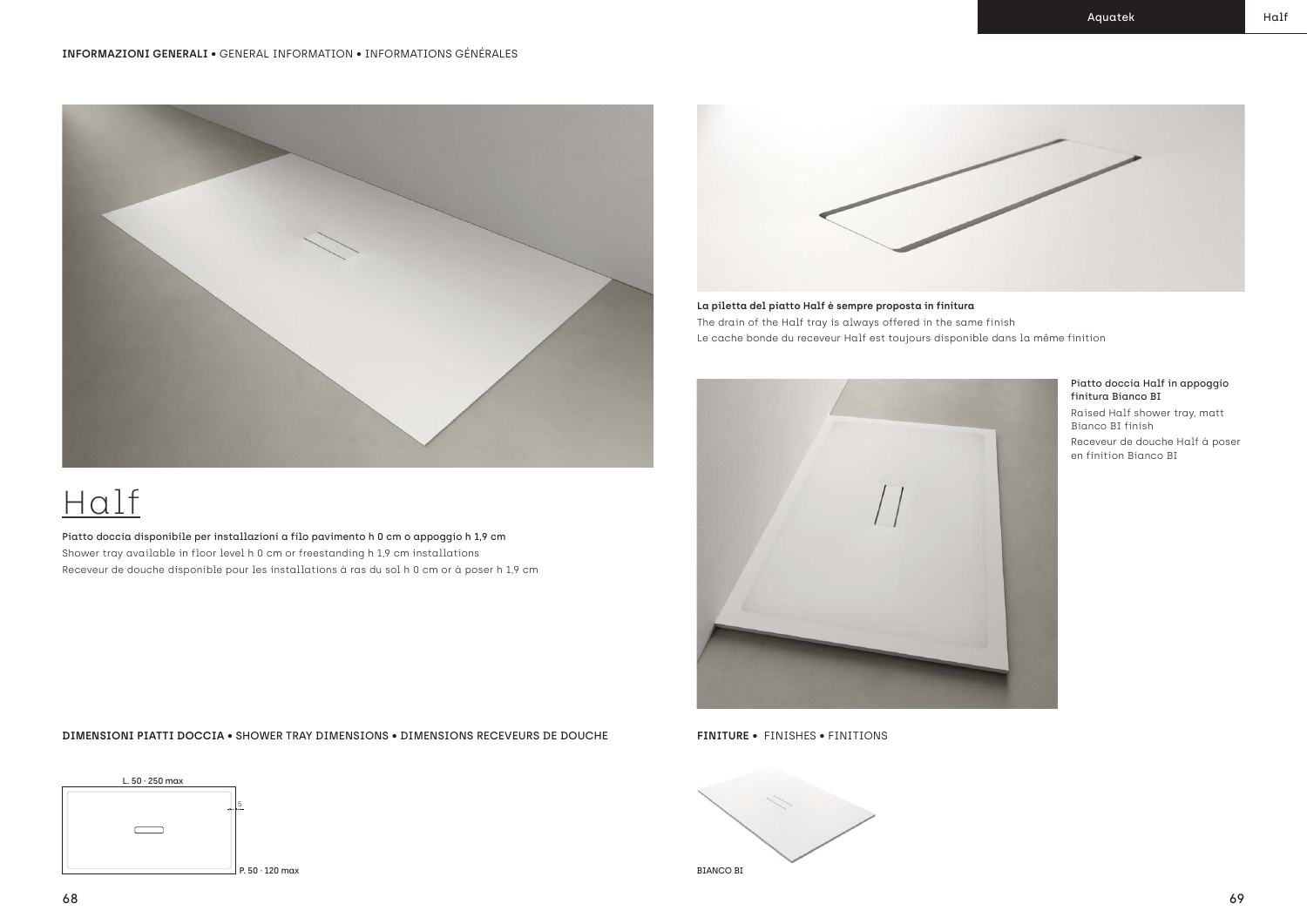## Half

Piatto doccia disponibile per installazioni a filo pavimento h 0 cm o appoggio h 1,9 cm Shower tray available in floor level h 0 cm or freestanding h 1,9 cm installations Receveur de douche disponible pour les installations à ras du sol h 0 cm or à poser h 1,9 cm



#### Piatto doccia Half in appoggio finitura Bianco BI

Raised Half shower tray, matt Bianco BI finish Receveur de douche Half à poser en finition Bianco BI

**La piletta del piatto Half è sempre proposta in finitura** The drain of the Half tray is always offered in the same finish Le cache bonde du receveur Half est toujours disponible dans la même finition



**FINITURE** • FINISHES • FINITIONS



**DIMENSIONI PIATTI DOCCIA** • SHOWER TRAY DIMENSIONS • DIMENSIONS RECEVEURS DE DOUCHE



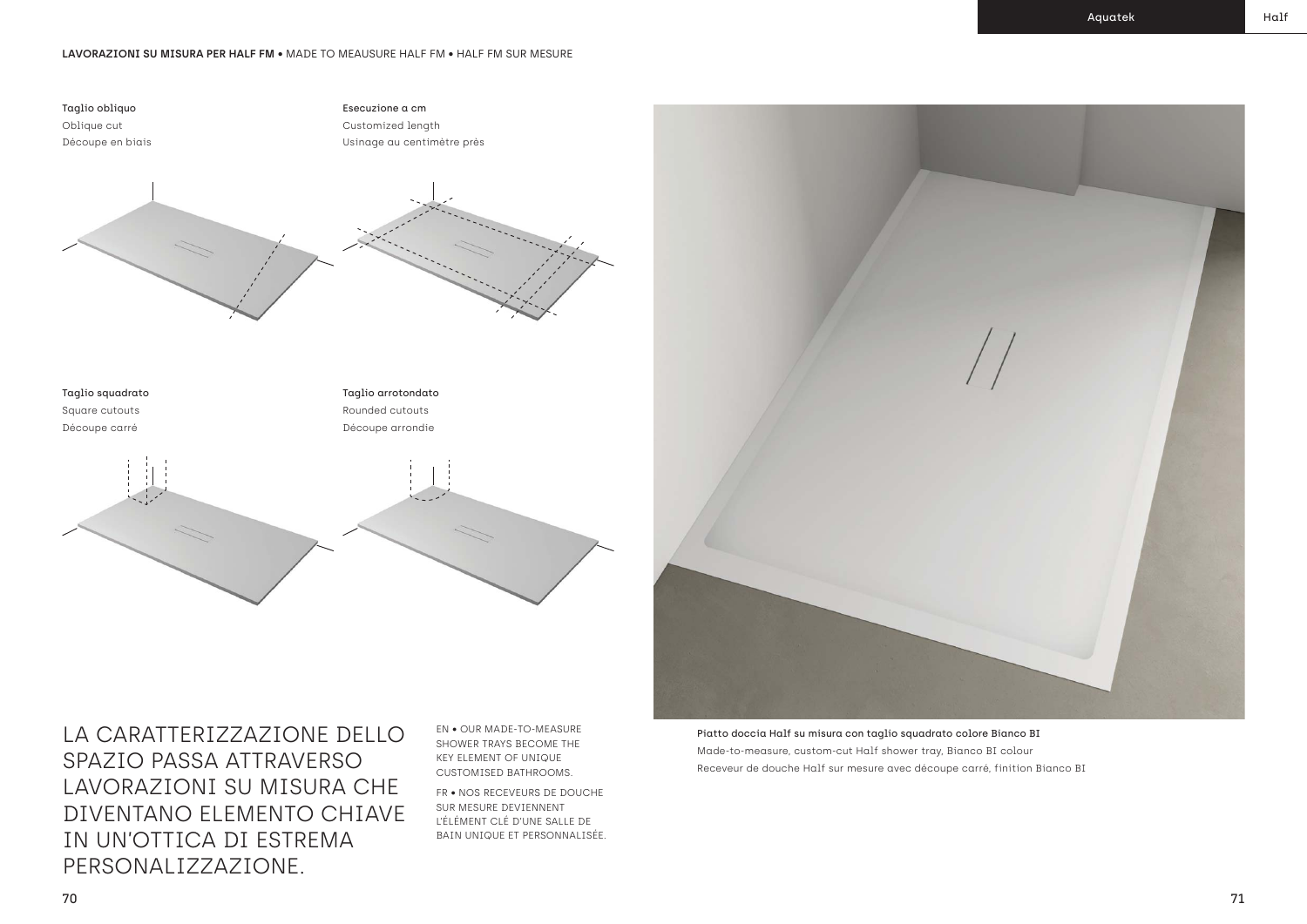Piatto doccia Half su misura con taglio squadrato colore Bianco BI Made-to-measure, custom-cut Half shower tray, Bianco BI colour Receveur de douche Half sur mesure avec découpe carré, finition Bianco BI

#### **LAVORAZIONI SU MISURA PER HALF FM** • MADE TO MEAUSURE HALF FM • HALF FM SUR MESURE

Taglio obliquo Oblique cut Découpe en biais

#### Taglio squadrato

Square cutouts Découpe carré

Esecuzione a cm Customized length Usinage au centimètre près



### Taglio arrotondato

Rounded cutouts Découpe arrondie





EN • OUR MADE-TO-MEASURE SHOWER TRAYS BECOME THE KEY ELEMENT OF UNIQUE CUSTOMISED BATHROOMS.

FR • NOS RECEVEURS DE DOUCHE SUR MESURE DEVIENNENT L'ÉLÉMENT CLÉ D'UNE SALLE DE BAIN UNIQUE ET PERSONNALISÉE.

LA CARATTERIZZAZIONE DELLO SPAZIO PASSA ATTRAVERSO LAVORAZIONI SU MISURA CHE DIVENTANO ELEMENTO CHIAVE IN UN'OTTICA DI ESTREMA PERSONALIZZAZIONE.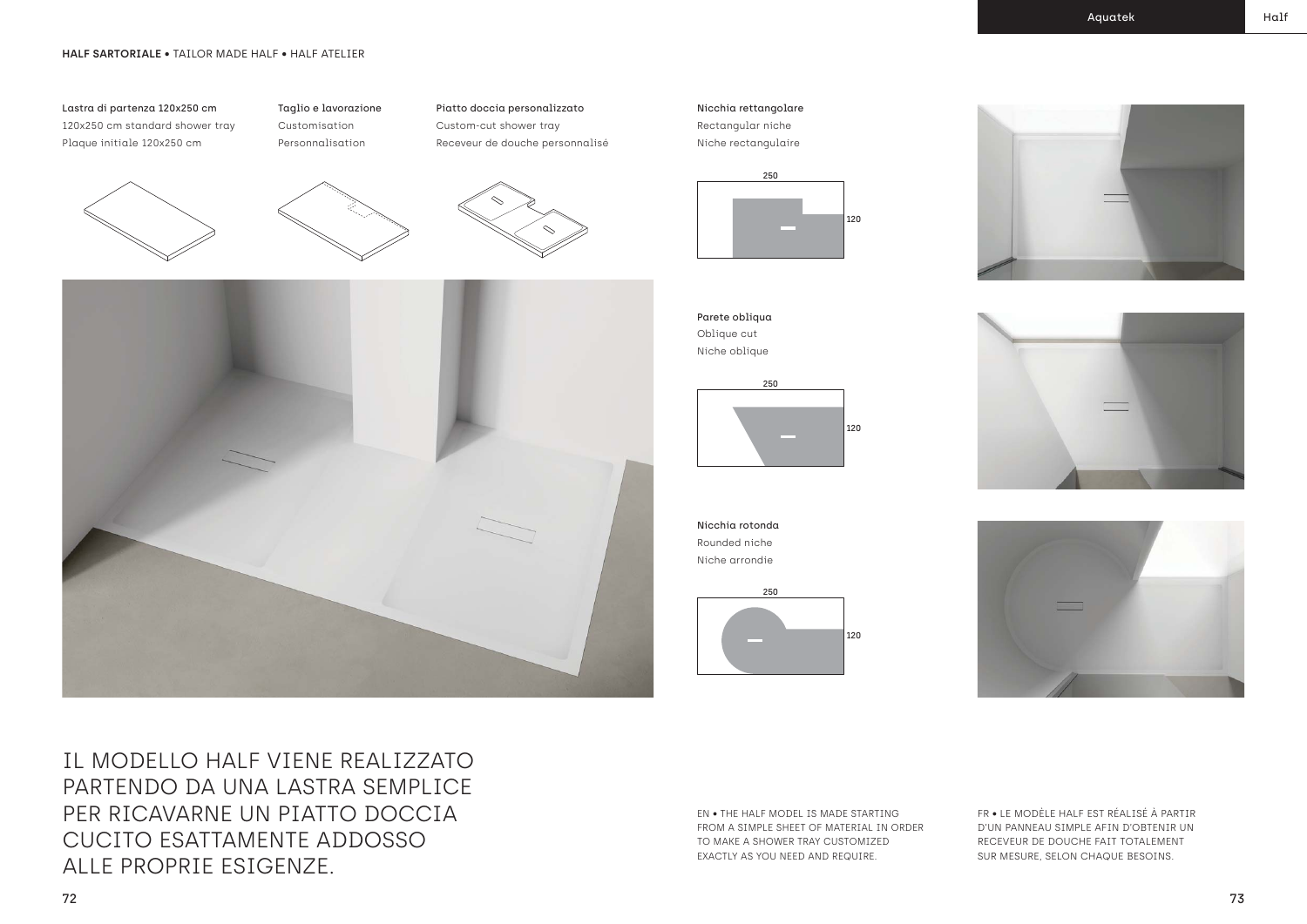#### **HALF SARTORIALE** • TAILOR MADE HALF • HALF ATELIER

#### Lastra di partenza 120x250 cm 120x250 cm standard shower tray Plaque initiale 120x250 cm

Taglio e lavorazione Customisation





Piatto doccia personalizzato Custom-cut shower tray

Receveur de douche personnalisé

IL MODELLO HALF VIENE REALIZZATO PARTENDO DA UNA LASTRA SEMPLICE PER RICAVARNE UN PIATTO DOCCIA CUCITO ESATTAMENTE ADDOSSO ALLE PROPRIE ESIGENZE.

Nicchia rettangolare Rectangular niche Niche rectangulaire





Oblique cut Niche oblique

Nicchia rotonda Rounded niche Niche arrondie

250

120





EN • THE HALF MODEL IS MADE STARTING FROM A SIMPLE SHEET OF MATERIAL IN ORDER TO MAKE A SHOWER TRAY CUSTOMIZED EXACTLY AS YOU NEED AND REQUIRE.

FR • LE MODÈLE HALF EST RÉALISÉ À PARTIR D'UN PANNEAU SIMPLE AFIN D'OBTENIR UN RECEVEUR DE DOUCHE FAIT TOTALEMENT SUR MESURE, SELON CHAQUE BESOINS.